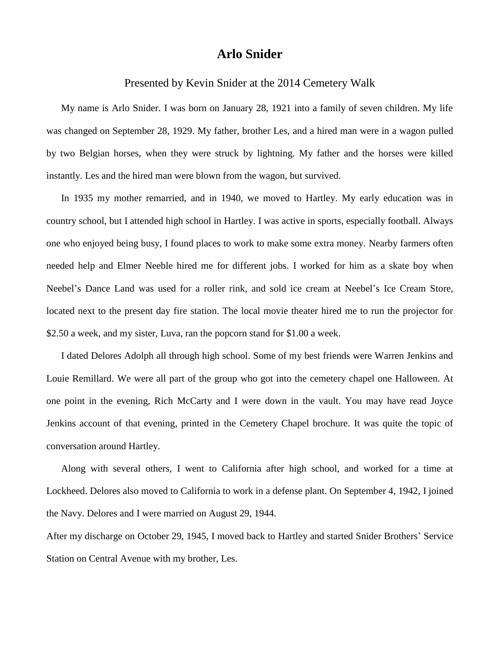## **Arlo Snider**

## Presented by Kevin Snider at the 2014 Cemetery Walk

My name is Arlo Snider. I was born on January 28, 1921 into a family of seven children. My life was changed on September 28, 1929. My father, brother Les, and a hired man were in a wagon pulled by two Belgian horses, when they were struck by lightning. My father and the horses were killed instantly. Les and the hired man were blown from the wagon, but survived.

In 1935 my mother remarried, and in 1940, we moved to Hartley. My early education was in country school, but I attended high school in Hartley. I was active in sports, especially football. Always one who enjoyed being busy, I found places to work to make some extra money. Nearby farmers often needed help and Elmer Neeble hired me for different jobs. I worked for him as a skate boy when Neebel's Dance Land was used for a roller rink, and sold ice cream at Neebel's Ice Cream Store, located next to the present day fire station. The local movie theater hired me to run the projector for \$2.50 a week, and my sister, Luva, ran the popcorn stand for \$1.00 a week.

I dated Delores Adolph all through high school. Some of my best friends were Warren Jenkins and Louie Remillard. We were all part of the group who got into the cemetery chapel one Halloween. At one point in the evening, Rich McCarty and I were down in the vault. You may have read Joyce Jenkins account of that evening, printed in the Cemetery Chapel brochure. It was quite the topic of conversation around Hartley.

Along with several others, I went to California after high school, and worked for a time at Lockheed. Delores also moved to California to work in a defense plant. On September 4, 1942, I joined the Navy. Delores and I were married on August 29, 1944.

After my discharge on October 29, 1945, I moved back to Hartley and started Snider Brothers' Service Station on Central Avenue with my brother, Les.